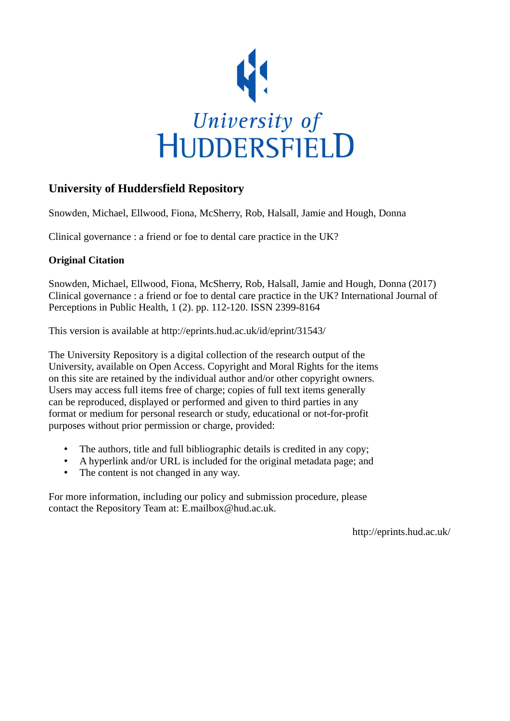

# **University of Huddersfield Repository**

Snowden, Michael, Ellwood, Fiona, McSherry, Rob, Halsall, Jamie and Hough, Donna

Clinical governance : a friend or foe to dental care practice in the UK?

## **Original Citation**

Snowden, Michael, Ellwood, Fiona, McSherry, Rob, Halsall, Jamie and Hough, Donna (2017) Clinical governance : a friend or foe to dental care practice in the UK? International Journal of Perceptions in Public Health, 1 (2). pp. 112-120. ISSN 2399-8164

This version is available at http://eprints.hud.ac.uk/id/eprint/31543/

The University Repository is a digital collection of the research output of the University, available on Open Access. Copyright and Moral Rights for the items on this site are retained by the individual author and/or other copyright owners. Users may access full items free of charge; copies of full text items generally can be reproduced, displayed or performed and given to third parties in any format or medium for personal research or study, educational or not-for-profit purposes without prior permission or charge, provided:

- The authors, title and full bibliographic details is credited in any copy;
- A hyperlink and/or URL is included for the original metadata page; and
- The content is not changed in any way.

For more information, including our policy and submission procedure, please contact the Repository Team at: E.mailbox@hud.ac.uk.

http://eprints.hud.ac.uk/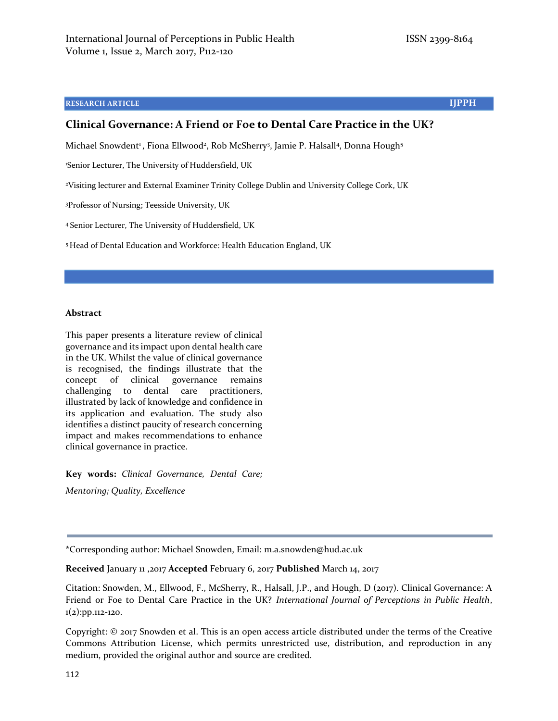#### **RESEARCH ARTICLE IJPPH**

#### **Clinical Governance: A Friend or Foe to Dental Care Practice in the UK?**

Michael Snowdent<sup>1</sup>, Fiona Ellwood<sup>2</sup>, Rob McSherry<sup>3</sup>, Jamie P. Halsall<sup>4</sup>, Donna Hough<sup>5</sup>

<sup>1</sup>Senior Lecturer, The University of Huddersfield, UK

<sup>2</sup>Visiting lecturer and External Examiner Trinity College Dublin and University College Cork, UK

<sup>3</sup>Professor of Nursing; Teesside University, UK

<sup>4</sup> Senior Lecturer, The University of Huddersfield, UK

<sup>5</sup> Head of Dental Education and Workforce: Health Education England, UK

#### **Abstract**

This paper presents a literature review of clinical governance and its impact upon dental health care in the UK. Whilst the value of clinical governance is recognised, the findings illustrate that the concept of clinical governance remains challenging to dental care practitioners, illustrated by lack of knowledge and confidence in its application and evaluation. The study also identifies a distinct paucity of research concerning impact and makes recommendations to enhance clinical governance in practice.

**Key words:** *Clinical Governance, Dental Care; Mentoring; Quality, Excellence*

\*Corresponding author: Michael Snowden, Email: m.a.snowden@hud.ac.uk

**Received** January 11 ,2017 **Accepted** February 6, 2017 **Published** March 14, 2017

Citation: Snowden, M., Ellwood, F., McSherry, R., Halsall, J.P., and Hough, D (2017). Clinical Governance: A Friend or Foe to Dental Care Practice in the UK? *International Journal of Perceptions in Public Health*, 1(2):pp.112-120.

Copyright: © 2017 Snowden et al. This is an open access article distributed under the terms of the Creative Commons Attribution License, which permits unrestricted use, distribution, and reproduction in any medium, provided the original author and source are credited.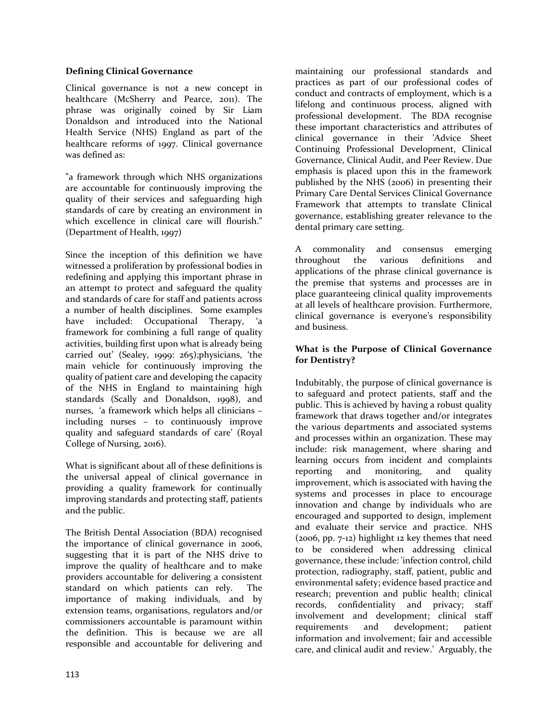#### **Defining Clinical Governance**

Clinical governance is not a new concept in healthcare (McSherry and Pearce, 2011). The phrase was originally coined by Sir Liam Donaldson and introduced into the National Health Service (NHS) England as part of the healthcare reforms of 1997. Clinical governance was defined as:

"a framework through which NHS organizations are accountable for continuously improving the quality of their services and safeguarding high standards of care by creating an environment in which excellence in clinical care will flourish." (Department of Health, 1997)

Since the inception of this definition we have witnessed a proliferation by professional bodies in redefining and applying this important phrase in an attempt to protect and safeguard the quality and standards of care for staff and patients across a number of health disciplines. Some examples have included: Occupational Therapy, 'a framework for combining a full range of quality activities, building first upon what is already being carried out' (Sealey, 1999: 265);physicians, 'the main vehicle for continuously improving the quality of patient care and developing the capacity of the NHS in England to maintaining high standards (Scally and Donaldson, 1998), and nurses, 'a framework which helps all clinicians – including nurses – to continuously improve quality and safeguard standards of care' (Royal College of Nursing, 2016).

What is significant about all of these definitions is the universal appeal of clinical governance in providing a quality framework for continually improving standards and protecting staff, patients and the public.

The British Dental Association (BDA) recognised the importance of clinical governance in 2006, suggesting that it is part of the NHS drive to improve the quality of healthcare and to make providers accountable for delivering a consistent standard on which patients can rely. The importance of making individuals, and by extension teams, organisations, regulators and/or commissioners accountable is paramount within the definition. This is because we are all responsible and accountable for delivering and

maintaining our professional standards and practices as part of our professional codes of conduct and contracts of employment, which is a lifelong and continuous process, aligned with professional development. The BDA recognise these important characteristics and attributes of clinical governance in their 'Advice Sheet Continuing Professional Development, Clinical Governance, Clinical Audit, and Peer Review. Due emphasis is placed upon this in the framework published by the NHS (2006) in presenting their Primary Care Dental Services Clinical Governance Framework that attempts to translate Clinical governance, establishing greater relevance to the dental primary care setting.

A commonality and consensus emerging throughout the various definitions and applications of the phrase clinical governance is the premise that systems and processes are in place guaranteeing clinical quality improvements at all levels of healthcare provision. Furthermore, clinical governance is everyone's responsibility and business.

#### **What is the Purpose of Clinical Governance for Dentistry?**

Indubitably, the purpose of clinical governance is to safeguard and protect patients, staff and the public. This is achieved by having a robust quality framework that draws together and/or integrates the various departments and associated systems and processes within an organization. These may include: risk management, where sharing and learning occurs from incident and complaints reporting and monitoring, and quality improvement, which is associated with having the systems and processes in place to encourage innovation and change by individuals who are encouraged and supported to design, implement and evaluate their service and practice. NHS (2006, pp. 7-12) highlight 12 key themes that need to be considered when addressing clinical governance, these include: 'infection control, child protection, radiography, staff, patient, public and environmental safety; evidence based practice and research; prevention and public health; clinical records, confidentiality and privacy; staff involvement and development; clinical staff requirements and development; patient information and involvement; fair and accessible care, and clinical audit and review.' Arguably, the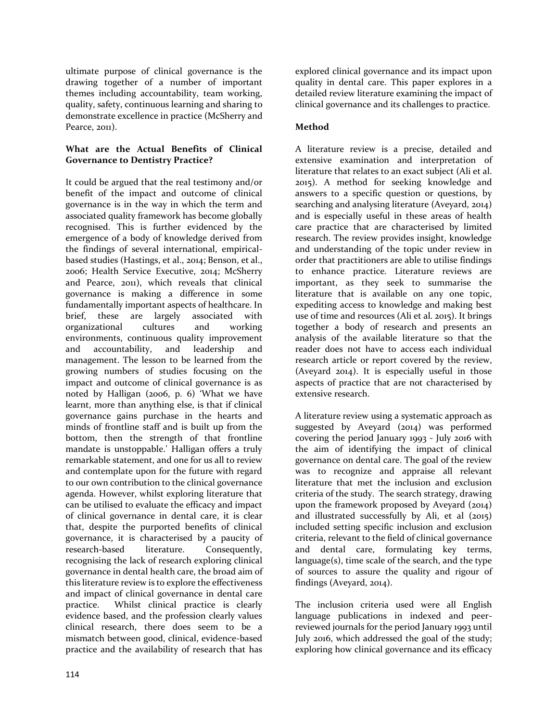ultimate purpose of clinical governance is the drawing together of a number of important themes including accountability, team working, quality, safety, continuous learning and sharing to demonstrate excellence in practice (McSherry and Pearce, 2011).

#### **What are the Actual Benefits of Clinical Governance to Dentistry Practice?**

It could be argued that the real testimony and/or benefit of the impact and outcome of clinical governance is in the way in which the term and associated quality framework has become globally recognised. This is further evidenced by the emergence of a body of knowledge derived from the findings of several international, empiricalbased studies (Hastings, et al., 2014; Benson, et al., 2006; Health Service Executive, 2014; McSherry and Pearce, 2011), which reveals that clinical governance is making a difference in some fundamentally important aspects of healthcare. In brief, these are largely associated with organizational cultures and working environments, continuous quality improvement and accountability, and leadership and management. The lesson to be learned from the growing numbers of studies focusing on the impact and outcome of clinical governance is as noted by Halligan (2006, p. 6) 'What we have learnt, more than anything else, is that if clinical governance gains purchase in the hearts and minds of frontline staff and is built up from the bottom, then the strength of that frontline mandate is unstoppable.' Halligan offers a truly remarkable statement, and one for us all to review and contemplate upon for the future with regard to our own contribution to the clinical governance agenda. However, whilst exploring literature that can be utilised to evaluate the efficacy and impact of clinical governance in dental care, it is clear that, despite the purported benefits of clinical governance, it is characterised by a paucity of research-based literature. Consequently, recognising the lack of research exploring clinical governance in dental health care, the broad aim of this literature review is to explore the effectiveness and impact of clinical governance in dental care practice. Whilst clinical practice is clearly evidence based, and the profession clearly values clinical research, there does seem to be a mismatch between good, clinical, evidence-based practice and the availability of research that has

explored clinical governance and its impact upon quality in dental care. This paper explores in a detailed review literature examining the impact of clinical governance and its challenges to practice.

### **Method**

A literature review is a precise, detailed and extensive examination and interpretation of literature that relates to an exact subject (Ali et al. 2015). A method for seeking knowledge and answers to a specific question or questions, by searching and analysing literature (Aveyard, 2014) and is especially useful in these areas of health care practice that are characterised by limited research. The review provides insight, knowledge and understanding of the topic under review in order that practitioners are able to utilise findings to enhance practice. Literature reviews are important, as they seek to summarise the literature that is available on any one topic, expediting access to knowledge and making best use of time and resources (Ali et al. 2015). It brings together a body of research and presents an analysis of the available literature so that the reader does not have to access each individual research article or report covered by the review, (Aveyard 2014). It is especially useful in those aspects of practice that are not characterised by extensive research.

A literature review using a systematic approach as suggested by Aveyard (2014) was performed covering the period January 1993 - July 2016 with the aim of identifying the impact of clinical governance on dental care. The goal of the review was to recognize and appraise all relevant literature that met the inclusion and exclusion criteria of the study. The search strategy, drawing upon the framework proposed by Aveyard (2014) and illustrated successfully by Ali, et al (2015) included setting specific inclusion and exclusion criteria, relevant to the field of clinical governance and dental care, formulating key terms, language(s), time scale of the search, and the type of sources to assure the quality and rigour of findings (Aveyard, 2014).

The inclusion criteria used were all English language publications in indexed and peerreviewed journals for the period January 1993 until July 2016, which addressed the goal of the study; exploring how clinical governance and its efficacy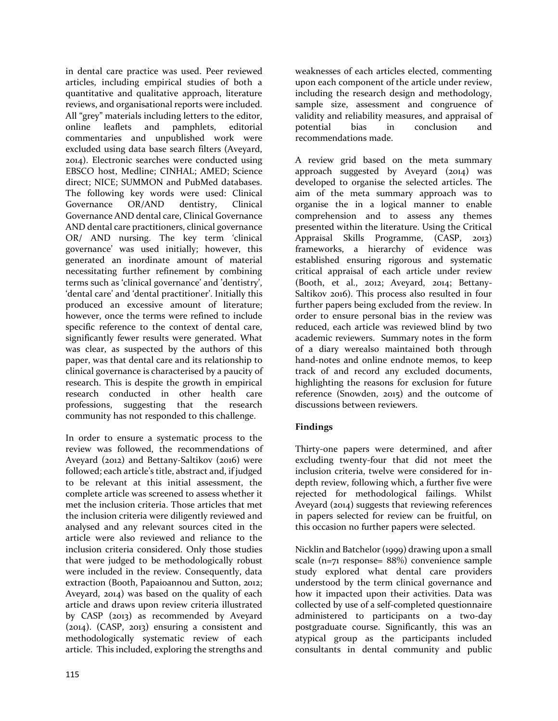in dental care practice was used. Peer reviewed articles, including empirical studies of both a quantitative and qualitative approach, literature reviews, and organisational reports were included. All "grey" materials including letters to the editor,<br>online leaflets and pamphlets, editorial pamphlets, editorial commentaries and unpublished work were excluded using data base search filters (Aveyard, 2014). Electronic searches were conducted using EBSCO host, Medline; CINHAL; AMED; Science direct; NICE; SUMMON and PubMed databases. The following key words were used: Clinical Governance OR/AND dentistry, Clinical Governance AND dental care, Clinical Governance AND dental care practitioners, clinical governance OR/ AND nursing. The key term 'clinical governance' was used initially; however, this generated an inordinate amount of material necessitating further refinement by combining terms such as 'clinical governance' and 'dentistry', 'dental care' and 'dental practitioner'. Initially this produced an excessive amount of literature; however, once the terms were refined to include specific reference to the context of dental care, significantly fewer results were generated. What was clear, as suspected by the authors of this paper, was that dental care and its relationship to clinical governance is characterised by a paucity of research. This is despite the growth in empirical research conducted in other health care<br>professions, suggesting that the research suggesting that the research community has not responded to this challenge.

In order to ensure a systematic process to the review was followed, the recommendations of Aveyard (2012) and Bettany-Saltikov (2016) were followed; each article's title, abstract and, if judged to be relevant at this initial assessment, the complete article was screened to assess whether it met the inclusion criteria. Those articles that met the inclusion criteria were diligently reviewed and analysed and any relevant sources cited in the article were also reviewed and reliance to the inclusion criteria considered. Only those studies that were judged to be methodologically robust were included in the review. Consequently, data extraction (Booth, Papaioannou and Sutton, 2012; Aveyard, 2014) was based on the quality of each article and draws upon review criteria illustrated by CASP (2013) as recommended by Aveyard (2014). (CASP, 2013) ensuring a consistent and methodologically systematic review of each article. This included, exploring the strengths and

weaknesses of each articles elected, commenting upon each component of the article under review, including the research design and methodology, sample size, assessment and congruence of validity and reliability measures, and appraisal of<br>potential bias in conclusion and potential bias in conclusion recommendations made.

A review grid based on the meta summary approach suggested by Aveyard  $(2014)$  was developed to organise the selected articles. The aim of the meta summary approach was to organise the in a logical manner to enable comprehension and to assess any themes presented within the literature. Using the Critical Appraisal Skills Programme, (CASP, 2013) frameworks, a hierarchy of evidence was established ensuring rigorous and systematic critical appraisal of each article under review (Booth, et al., 2012; Aveyard, 2014; Bettany-Saltikov 2016). This process also resulted in four further papers being excluded from the review. In order to ensure personal bias in the review was reduced, each article was reviewed blind by two academic reviewers. Summary notes in the form of a diary werealso maintained both through hand-notes and online endnote memos, to keep track of and record any excluded documents, highlighting the reasons for exclusion for future reference (Snowden, 2015) and the outcome of discussions between reviewers.

### **Findings**

Thirty-one papers were determined, and after excluding twenty-four that did not meet the inclusion criteria, twelve were considered for indepth review, following which, a further five were rejected for methodological failings. Whilst Aveyard (2014) suggests that reviewing references in papers selected for review can be fruitful, on this occasion no further papers were selected.

Nicklin and Batchelor (1999) drawing upon a small scale (n=71 response= 88%) convenience sample study explored what dental care providers understood by the term clinical governance and how it impacted upon their activities. Data was collected by use of a self-completed questionnaire administered to participants on a two-day postgraduate course. Significantly, this was an atypical group as the participants included consultants in dental community and public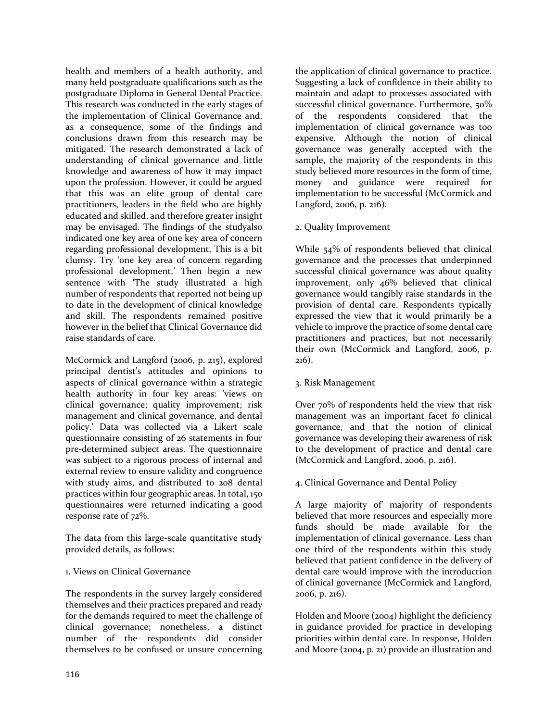health and members of a health authority, and many held postgraduate qualifications such as the postgraduate Diploma in General Dental Practice. This research was conducted in the early stages of the implementation of Clinical Governance and, as a consequence, some of the findings and conclusions drawn from this research may be mitigated. The research demonstrated a lack of understanding of clinical governance and little knowledge and awareness of how it may impact upon the profession. However, it could be argued that this was an elite group of dental care practitioners, leaders in the field who are highly educated and skilled, and therefore greater insight may be envisaged. The findings of the studyalso indicated one key area of one key area of concern regarding professional development. This is a bit clumsy. Try 'one key area of concern regarding professional development.' Then begin a new sentence with 'The study illustrated a high number of respondents that reported not being up to date in the development of clinical knowledge and skill. The respondents remained positive however in the belief that Clinical Governance did raise standards of care.

McCormick and Langford (2006, p. 215), explored principal dentist's attitudes and opinions to aspects of clinical governance within a strategic health authority in four key areas: 'views on clinical governance; quality improvement; risk management and clinical governance, and dental policy.' Data was collected via a Likert scale questionnaire consisting of 26 statements in four pre-determined subject areas. The questionnaire was subject to a rigorous process of internal and external review to ensure validity and congruence with study aims, and distributed to 208 dental practices within four geographic areas. In total, 150 questionnaires were returned indicating a good response rate of 72%.

The data from this large-scale quantitative study provided details, as follows:

#### 1. Views on Clinical Governance

The respondents in the survey largely considered themselves and their practices prepared and ready for the demands required to meet the challenge of clinical governance; nonetheless, a distinct number of the respondents did consider themselves to be confused or unsure concerning

the application of clinical governance to practice. Suggesting a lack of confidence in their ability to maintain and adapt to processes associated with successful clinical governance. Furthermore, 50% of the respondents considered that the implementation of clinical governance was too expensive. Although the notion of clinical governance was generally accepted with the sample, the majority of the respondents in this study believed more resources in the form of time, money and guidance were required for implementation to be successful (McCormick and Langford, 2006, p. 216).

#### 2. Quality Improvement

While 54% of respondents believed that clinical governance and the processes that underpinned successful clinical governance was about quality improvement, only 46% believed that clinical governance would tangibly raise standards in the provision of dental care. Respondents typically expressed the view that it would primarily be a vehicle to improve the practice of some dental care practitioners and practices, but not necessarily their own (McCormick and Langford, 2006, p. 216).

#### 3. Risk Management

Over 70% of respondents held the view that risk management was an important facet fo clinical governance, and that the notion of clinical governance was developing their awareness of risk to the development of practice and dental care (McCormick and Langford, 2006, p. 216).

#### 4. Clinical Governance and Dental Policy

A large majority of' majority of respondents believed that more resources and especially more funds should be made available for the implementation of clinical governance. Less than one third of the respondents within this study believed that patient confidence in the delivery of dental care would improve with the introduction of clinical governance (McCormick and Langford, 2006, p. 216).

Holden and Moore (2004) highlight the deficiency in guidance provided for practice in developing priorities within dental care. In response, Holden and Moore (2004, p. 21) provide an illustration and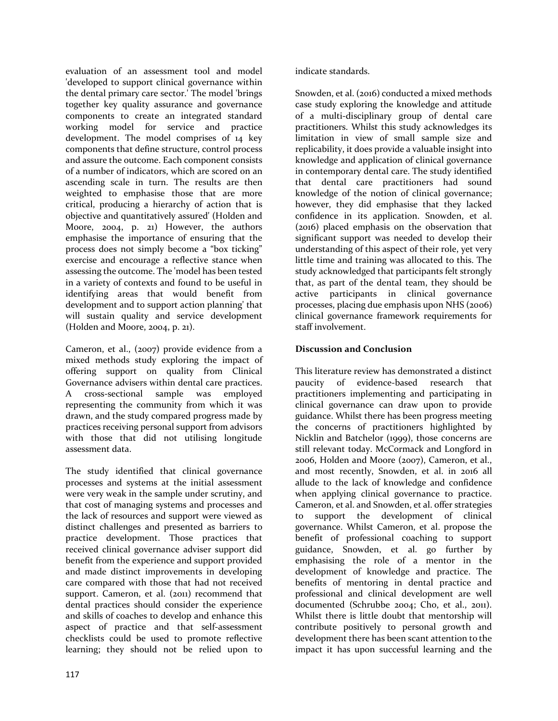evaluation of an assessment tool and model 'developed to support clinical governance within the dental primary care sector.' The model 'brings together key quality assurance and governance components to create an integrated standard working model for service and practice development. The model comprises of 14 key components that define structure, control process and assure the outcome. Each component consists of a number of indicators, which are scored on an ascending scale in turn. The results are then weighted to emphasise those that are more critical, producing a hierarchy of action that is objective and quantitatively assured' (Holden and Moore, 2004, p. 21) However, the authors emphasise the importance of ensuring that the process does not simply become a "box ticking" exercise and encourage a reflective stance when assessing the outcome. The 'model has been tested in a variety of contexts and found to be useful in identifying areas that would benefit from development and to support action planning' that will sustain quality and service development (Holden and Moore, 2004, p. 21).

Cameron, et al., (2007) provide evidence from a mixed methods study exploring the impact of offering support on quality from Clinical Governance advisers within dental care practices. A cross-sectional sample was employed representing the community from which it was drawn, and the study compared progress made by practices receiving personal support from advisors with those that did not utilising longitude assessment data.

The study identified that clinical governance processes and systems at the initial assessment were very weak in the sample under scrutiny, and that cost of managing systems and processes and the lack of resources and support were viewed as distinct challenges and presented as barriers to practice development. Those practices that received clinical governance adviser support did benefit from the experience and support provided and made distinct improvements in developing care compared with those that had not received support. Cameron, et al. (2011) recommend that dental practices should consider the experience and skills of coaches to develop and enhance this aspect of practice and that self-assessment checklists could be used to promote reflective learning; they should not be relied upon to

indicate standards.

Snowden, et al. (2016) conducted a mixed methods case study exploring the knowledge and attitude of a multi-disciplinary group of dental care practitioners. Whilst this study acknowledges its limitation in view of small sample size and replicability, it does provide a valuable insight into knowledge and application of clinical governance in contemporary dental care. The study identified that dental care practitioners had sound knowledge of the notion of clinical governance; however, they did emphasise that they lacked confidence in its application. Snowden, et al. (2016) placed emphasis on the observation that significant support was needed to develop their understanding of this aspect of their role, yet very little time and training was allocated to this. The study acknowledged that participants felt strongly that, as part of the dental team, they should be active participants in clinical governance processes, placing due emphasis upon NHS (2006) clinical governance framework requirements for staff involvement.

#### **Discussion and Conclusion**

This literature review has demonstrated a distinct paucity of evidence-based research that practitioners implementing and participating in clinical governance can draw upon to provide guidance. Whilst there has been progress meeting the concerns of practitioners highlighted by Nicklin and Batchelor (1999), those concerns are still relevant today. McCormack and Longford in 2006, Holden and Moore (2007), Cameron, et al., and most recently, Snowden, et al. in 2016 all allude to the lack of knowledge and confidence when applying clinical governance to practice. Cameron, et al. and Snowden, et al. offer strategies to support the development of clinical governance. Whilst Cameron, et al. propose the benefit of professional coaching to support guidance, Snowden, et al. go further by emphasising the role of a mentor in the development of knowledge and practice. The benefits of mentoring in dental practice and professional and clinical development are well documented (Schrubbe 2004; Cho, et al., 2011). Whilst there is little doubt that mentorship will contribute positively to personal growth and development there has been scant attention to the impact it has upon successful learning and the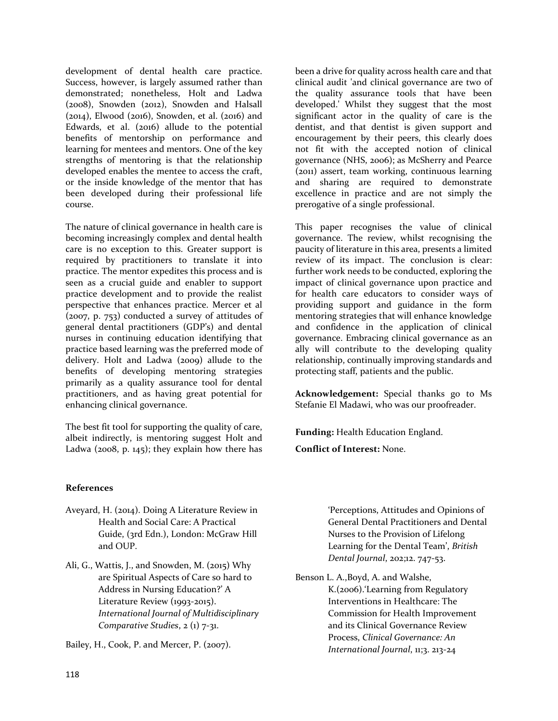development of dental health care practice. Success, however, is largely assumed rather than demonstrated; nonetheless, Holt and Ladwa (2008), Snowden (2012), Snowden and Halsall (2014), Elwood (2016), Snowden, et al. (2016) and Edwards, et al. (2016) allude to the potential benefits of mentorship on performance and learning for mentees and mentors. One of the key strengths of mentoring is that the relationship developed enables the mentee to access the craft, or the inside knowledge of the mentor that has been developed during their professional life course.

The nature of clinical governance in health care is becoming increasingly complex and dental health care is no exception to this. Greater support is required by practitioners to translate it into practice. The mentor expedites this process and is seen as a crucial guide and enabler to support practice development and to provide the realist perspective that enhances practice. Mercer et al (2007, p. 753) conducted a survey of attitudes of general dental practitioners (GDP's) and dental nurses in continuing education identifying that practice based learning was the preferred mode of delivery. Holt and Ladwa (2009) allude to the benefits of developing mentoring strategies primarily as a quality assurance tool for dental practitioners, and as having great potential for enhancing clinical governance.

The best fit tool for supporting the quality of care, albeit indirectly, is mentoring suggest Holt and Ladwa (2008, p. 145); they explain how there has

**References**

- Aveyard, H. (2014). Doing A Literature Review in Health and Social Care: A Practical Guide, (3rd Edn.), London: McGraw Hill and OUP.
- Ali, G., Wattis, J., and Snowden, M. (2015) Why are Spiritual Aspects of Care so hard to Address in Nursing Education?' A Literature Review (1993-2015). *International Journal of Multidisciplinary Comparative Studies*, 2 (1) 7-31.

Bailey, H., Cook, P. and Mercer, P. (2007).

been a drive for quality across health care and that clinical audit 'and clinical governance are two of the quality assurance tools that have been developed.' Whilst they suggest that the most significant actor in the quality of care is the dentist, and that dentist is given support and encouragement by their peers, this clearly does not fit with the accepted notion of clinical governance (NHS, 2006); as McSherry and Pearce (2011) assert, team working, continuous learning and sharing are required to demonstrate excellence in practice and are not simply the prerogative of a single professional.

This paper recognises the value of clinical governance. The review, whilst recognising the paucity of literature in this area, presents a limited review of its impact. The conclusion is clear: further work needs to be conducted, exploring the impact of clinical governance upon practice and for health care educators to consider ways of providing support and guidance in the form mentoring strategies that will enhance knowledge and confidence in the application of clinical governance. Embracing clinical governance as an ally will contribute to the developing quality relationship, continually improving standards and protecting staff, patients and the public.

**Acknowledgement:** Special thanks go to Ms Stefanie El Madawi, who was our proofreader.

**Funding:** Health Education England.

**Conflict of Interest:** None.

'Perceptions, Attitudes and Opinions of General Dental Practitioners and Dental Nurses to the Provision of Lifelong Learning for the Dental Team', *British Dental Journal*, 202;12. 747-53.

Benson L. A.,Boyd, A. and Walshe, K.(2006).'Learning from Regulatory Interventions in Healthcare: The Commission for Health Improvement and its Clinical Governance Review Process, *Clinical Governance: An International Journal*, 11;3. 213-24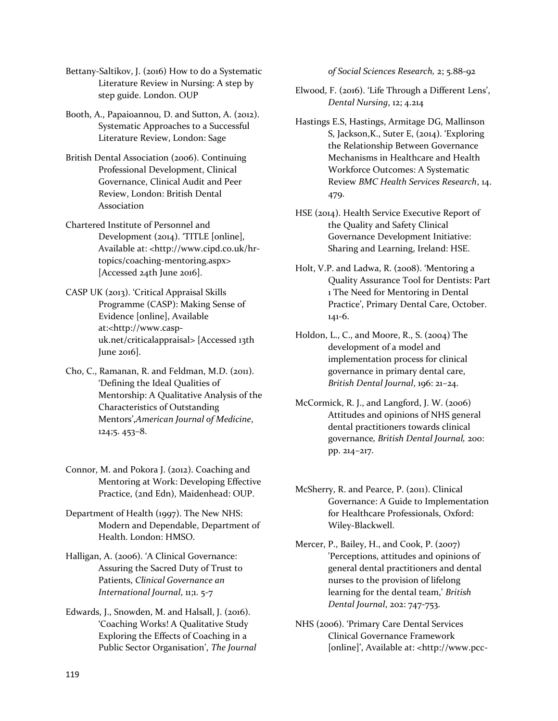Bettany-Saltikov, J. (2016) How to do a Systematic Literature Review in Nursing: A step by step guide. London. OUP

Booth, A., Papaioannou, D. and Sutton, A. (2012). Systematic Approaches to a Successful Literature Review, London: Sage

- British Dental Association (2006). Continuing Professional Development, Clinical Governance, Clinical Audit and Peer Review, London: British Dental Association
- Chartered Institute of Personnel and Development (2014). 'TITLE [online], Available at: <http://www.cipd.co.uk/hrtopics/coaching-mentoring.aspx> [Accessed 24th June 2016].
- CASP UK (2013). 'Critical Appraisal Skills Programme (CASP): Making Sense of Evidence [online], Available at:<http://www.caspuk.net/criticalappraisal> [Accessed 13th June 2016].
- Cho, C., Ramanan, R. and Feldman, M.D. (2011). 'Defining the Ideal Qualities of Mentorship: A Qualitative Analysis of the Characteristics of Outstanding Mentors',*American Journal of Medicine*, 124;5. 453–8.
- Connor, M. and Pokora J. (2012). Coaching and Mentoring at Work: Developing Effective Practice, (2nd Edn), Maidenhead: OUP.
- Department of Health (1997). The New NHS: Modern and Dependable, Department of Health. London: HMSO.
- Halligan, A. (2006). 'A Clinical Governance: Assuring the Sacred Duty of Trust to Patients, *Clinical Governance an International Journal*, 11;1. 5-7
- Edwards, J., Snowden, M. and Halsall, J. (2016). 'Coaching Works! A Qualitative Study Exploring the Effects of Coaching in a Public Sector Organisation', *The Journal*

*of Social Sciences Research,* 2; 5.88-92

- Elwood, F. (2016). 'Life Through a Different Lens', *Dental Nursing*, 12; 4.214
- Hastings E.S, Hastings, Armitage DG, Mallinson S, Jackson,K., Suter E, (2014). 'Exploring the Relationship Between Governance Mechanisms in Healthcare and Health Workforce Outcomes: A Systematic Review *BMC Health Services Research*, 14. 479.
- HSE (2014). Health Service Executive Report of the Quality and Safety Clinical Governance Development Initiative: Sharing and Learning, Ireland: HSE.
- Holt, V.P. and Ladwa, R. (2008). 'Mentoring a Quality Assurance Tool for Dentists: Part 1 The Need for Mentoring in Dental Practice', Primary Dental Care, October. 141-6.
- Holdon, L., C., and Moore, R., S. (2004) The development of a model and implementation process for clinical governance in primary dental care, *British Dental Journal*, 196: 21–24.
- McCormick, R. J., and Langford, J. W. (2006) Attitudes and opinions of NHS general dental practitioners towards clinical governance*, British Dental Journal,* 200: pp. 214–217.
- McSherry, R. and Pearce, P. (2011). Clinical Governance: A Guide to Implementation for Healthcare Professionals, Oxford: Wiley-Blackwell.
- Mercer, P., Bailey, H., and Cook, P. (2007) 'Perceptions, attitudes and opinions of general dental practitioners and dental nurses to the provision of lifelong learning for the dental team,' *British Dental Journal*, 202: 747-753.
- NHS (2006). 'Primary Care Dental Services Clinical Governance Framework [online]', Available at: <http://www.pcc-